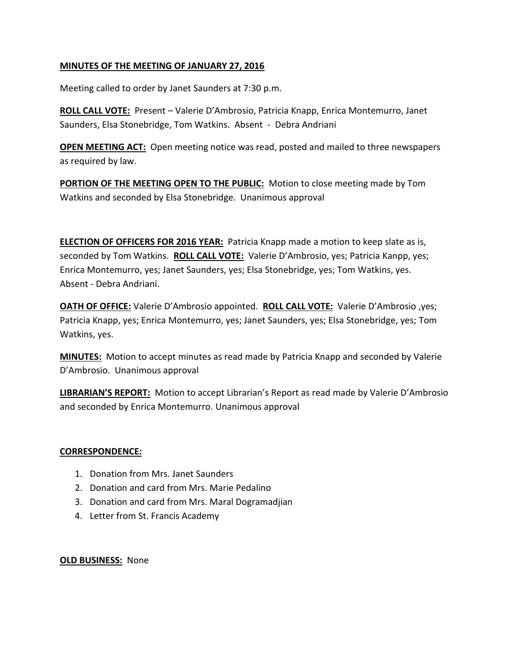# **MINUTES OF THE MEETING OF JANUARY 27, 2016**

Meeting called to order by Janet Saunders at 7:30 p.m.

**ROLL CALL VOTE:** Present – Valerie D'Ambrosio, Patricia Knapp, Enrica Montemurro, Janet Saunders, Elsa Stonebridge, Tom Watkins. Absent - Debra Andriani

**OPEN MEETING ACT:** Open meeting notice was read, posted and mailed to three newspapers as required by law.

**PORTION OF THE MEETING OPEN TO THE PUBLIC:** Motion to close meeting made by Tom Watkins and seconded by Elsa Stonebridge. Unanimous approval

**ELECTION OF OFFICERS FOR 2016 YEAR:** Patricia Knapp made a motion to keep slate as is, seconded by Tom Watkins. **ROLL CALL VOTE:** Valerie D'Ambrosio, yes; Patricia Kanpp, yes; Enrica Montemurro, yes; Janet Saunders, yes; Elsa Stonebridge, yes; Tom Watkins, yes. Absent - Debra Andriani.

**OATH OF OFFICE:** Valerie D'Ambrosio appointed. **ROLL CALL VOTE:** Valerie D'Ambrosio ,yes; Patricia Knapp, yes; Enrica Montemurro, yes; Janet Saunders, yes; Elsa Stonebridge, yes; Tom Watkins, yes.

**MINUTES:** Motion to accept minutes as read made by Patricia Knapp and seconded by Valerie D'Ambrosio. Unanimous approval

**LIBRARIAN'S REPORT:** Motion to accept Librarian's Report as read made by Valerie D'Ambrosio and seconded by Enrica Montemurro. Unanimous approval

## **CORRESPONDENCE:**

- 1. Donation from Mrs. Janet Saunders
- 2. Donation and card from Mrs. Marie Pedalino
- 3. Donation and card from Mrs. Maral Dogramadjian
- 4. Letter from St. Francis Academy

#### **OLD BUSINESS:** None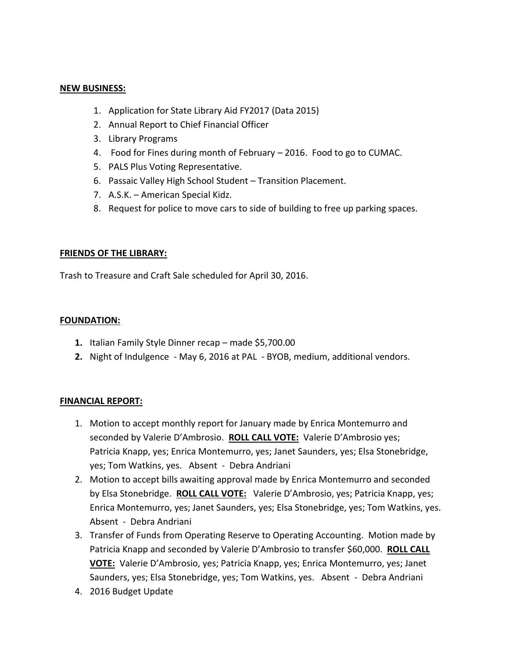#### **NEW BUSINESS:**

- 1. Application for State Library Aid FY2017 (Data 2015)
- 2. Annual Report to Chief Financial Officer
- 3. Library Programs
- 4. Food for Fines during month of February 2016. Food to go to CUMAC.
- 5. PALS Plus Voting Representative.
- 6. Passaic Valley High School Student Transition Placement.
- 7. A.S.K. American Special Kidz.
- 8. Request for police to move cars to side of building to free up parking spaces.

## **FRIENDS OF THE LIBRARY:**

Trash to Treasure and Craft Sale scheduled for April 30, 2016.

#### **FOUNDATION:**

- **1.** Italian Family Style Dinner recap made \$5,700.00
- **2.** Night of Indulgence May 6, 2016 at PAL BYOB, medium, additional vendors.

## **FINANCIAL REPORT:**

- 1. Motion to accept monthly report for January made by Enrica Montemurro and seconded by Valerie D'Ambrosio. **ROLL CALL VOTE:** Valerie D'Ambrosio yes; Patricia Knapp, yes; Enrica Montemurro, yes; Janet Saunders, yes; Elsa Stonebridge, yes; Tom Watkins, yes. Absent - Debra Andriani
- 2. Motion to accept bills awaiting approval made by Enrica Montemurro and seconded by Elsa Stonebridge. **ROLL CALL VOTE:** Valerie D'Ambrosio, yes; Patricia Knapp, yes; Enrica Montemurro, yes; Janet Saunders, yes; Elsa Stonebridge, yes; Tom Watkins, yes. Absent - Debra Andriani
- 3. Transfer of Funds from Operating Reserve to Operating Accounting. Motion made by Patricia Knapp and seconded by Valerie D'Ambrosio to transfer \$60,000. **ROLL CALL VOTE:** Valerie D'Ambrosio, yes; Patricia Knapp, yes; Enrica Montemurro, yes; Janet Saunders, yes; Elsa Stonebridge, yes; Tom Watkins, yes. Absent - Debra Andriani
- 4. 2016 Budget Update